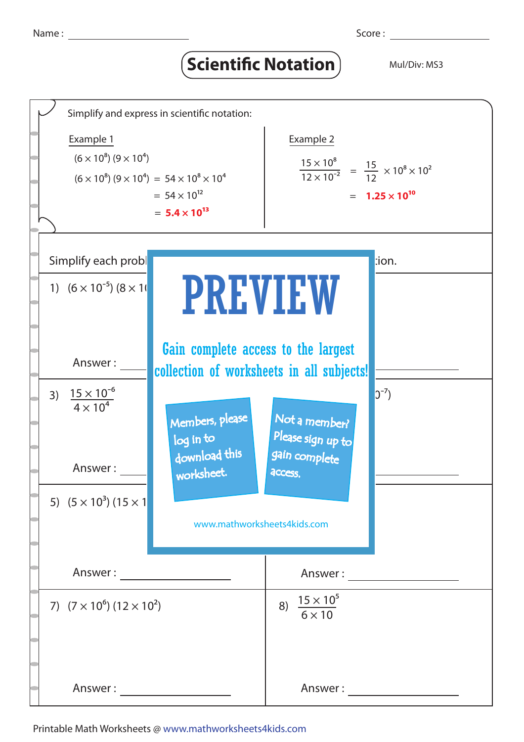## **Scientific Notation** Mul/Div: MS3



## Printable Math Worksheets @ www.mathworksheets4kids.com